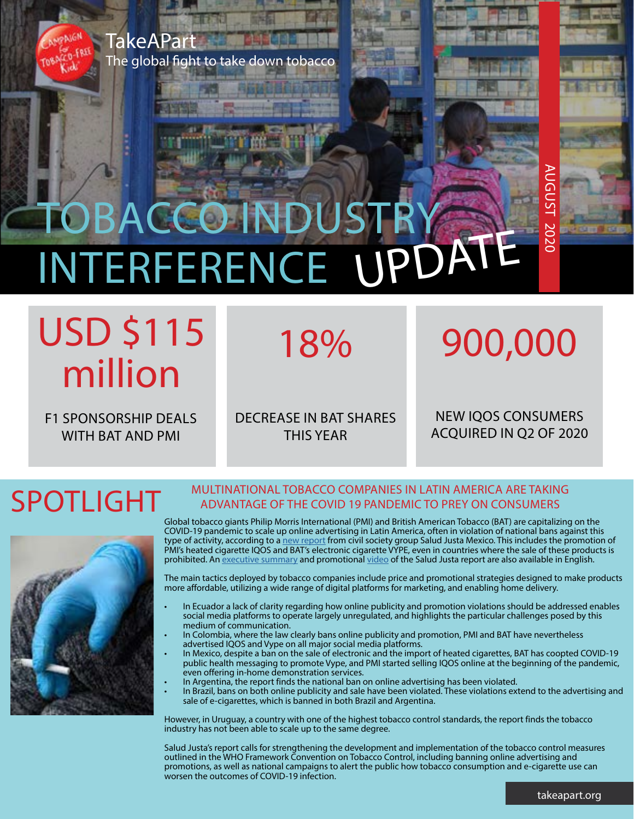

## TOBACCO INDUSTR INTERFERENCE UPDATE

## USD \$115 million

F1 SPONSORSHIP DEALS WITH BAT AND PMI

DECREASE IN BAT SHARES THIS YEAR

18%

## 900,000

AUGUST 2020

2020

**UGUS** 

NEW IQOS CONSUMERS ACQUIRED IN Q2 OF 2020

### SPOTLIGHT



#### MULTINATIONAL TOBACCO COMPANIES IN LATIN AMERICA ARE TAKING ADVANTAGE OF THE COVID 19 PANDEMIC TO PREY ON CONSUMERS

Global tobacco giants Philip Morris International (PMI) and British American Tobacco (BAT) are capitalizing on the COVID-19 pandemic to scale up online advertising in Latin America, often in violation of national bans against this type of activity, according to a <u>new report</u> from civil society group Salud Justa Mexico. This includes the promotion of PMI's heated cigarette IQOS and BAT's electronic cigarette VYPE, even in countries where the sale of these products is prohibited. An [executive summary](https://drive.google.com/file/d/1NkbiRtUaxZlSqzMK8J4H2kQx5uNK2E-h/view?usp=sharing) and promotional [video](https://www.youtube.com/watch?v=arqsKF8BQXs&feature=youtu.be) of the Salud Justa report are also available in English.

The main tactics deployed by tobacco companies include price and promotional strategies designed to make products more affordable, utilizing a wide range of digital platforms for marketing, and enabling home delivery.

- In Ecuador a lack of clarity regarding how online publicity and promotion violations should be addressed enables social media platforms to operate largely unregulated, and highlights the particular challenges posed by this medium of communication.
- In Colombia, where the law clearly bans online publicity and promotion, PMI and BAT have nevertheless advertised IQOS and Vype on all major social media platforms.
- In Mexico, despite a ban on the sale of electronic and the import of heated cigarettes, BAT has coopted COVID-19 public health messaging to promote Vype, and PMI started selling IQOS online at the beginning of the pandemic, even offering in-home demonstration services.
- In Argentina, the report finds the national ban on online advertising has been violated.
- In Brazil, bans on both online publicity and sale have been violated. These violations extend to the advertising and sale of e-cigarettes, which is banned in both Brazil and Argentina.

However, in Uruguay, a country with one of the highest tobacco control standards, the report finds the tobacco industry has not been able to scale up to the same degree.

Salud Justa's report calls for strengthening the development and implementation of the tobacco control measures outlined in the WHO Framework Convention on Tobacco Control, including banning online advertising and promotions, as well as national campaigns to alert the public how tobacco consumption and e-cigarette use can worsen the outcomes of COVID-19 infection.

takeapart.org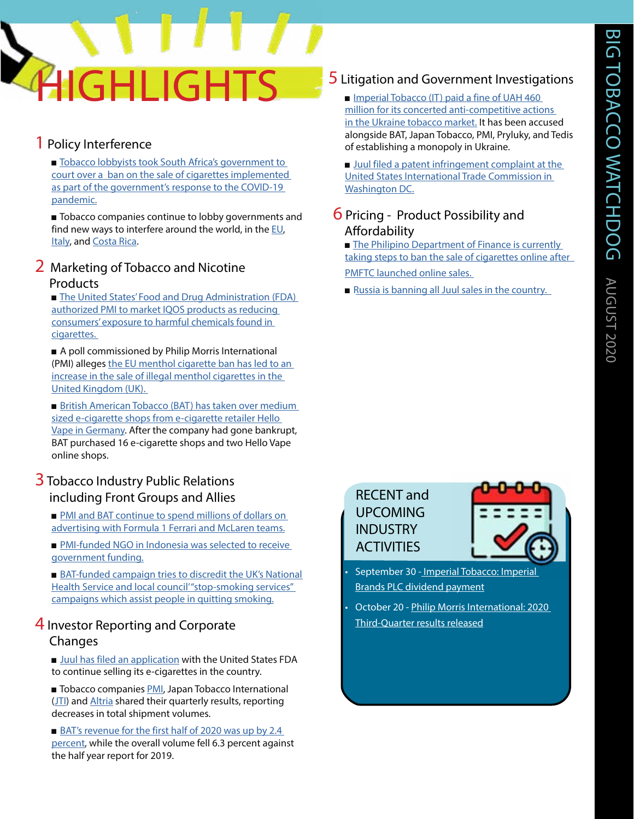# **GHI IGHT**

#### 1 Policy Interference

■ Tobacco lobbyists took South Africa's government to [court over a ban on the sale of cigarettes implemented](https://www.insider.com/coronavirus-south-africa-4-month-long-cigarette-ban-challenged-2020-7)  [as part of the government's response to the COVID-19](https://www.insider.com/coronavirus-south-africa-4-month-long-cigarette-ban-challenged-2020-7)  [pandemic.](https://www.insider.com/coronavirus-south-africa-4-month-long-cigarette-ban-challenged-2020-7)

■ Tobacco companies continue to lobby governments and find new ways to interfere around the world, in the [EU](https://www.politico.eu/article/commission-remains-vulnerable-to-big-tobaccos-siren-song-report-says/), [Italy](https://www.politico.com/news/2020/07/19/big-tobacco-italy-taxes-369772), and [Costa Rica](https://www.premiumtimesng.com/foreign/403668-how-tobacco-funded-group-try-to-influence-tobacco-control-policy-in-costa-rica-report.html).

#### 2 Marketing of Tobacco and Nicotine Products

■ The United States' Food and Drug Administration (FDA) [authorized PMI to market IQOS products as reducing](https://www.bloomberg.com/news/articles/2020-07-07/philip-morris-allowed-to-label-iqos-as-reducing-harmful-exposure)  [consumers' exposure to harmful chemicals found in](https://www.bloomberg.com/news/articles/2020-07-07/philip-morris-allowed-to-label-iqos-as-reducing-harmful-exposure)  [cigarettes.](https://www.bloomberg.com/news/articles/2020-07-07/philip-morris-allowed-to-label-iqos-as-reducing-harmful-exposure) 

■ A poll commissioned by Philip Morris International (PMI) alleges the EU menthol cigarette ban has led to an [increase in the sale of illegal menthol cigarettes in the](https://www.express.co.uk/news/uk/1310516/menthol-cigarettes-ban-EU-law-smoking)  [United Kingdom \(UK\).](https://www.express.co.uk/news/uk/1310516/menthol-cigarettes-ban-EU-law-smoking) 

■ British American Tobacco (BAT) has taken over medium sized e-cigarette shops from e-cigarette retailer Hello [Vape in Germany.](https://www.welt.de/wirtschaft/article212320611/E-Zigarette-Uebernahmen-in-der-Corona-Krise.html) After the company had gone bankrupt, BAT purchased 16 e-cigarette shops and two Hello Vape online shops.

#### **3** Tobacco Industry Public Relations including Front Groups and Allies

■ PMI and BAT continue to spend millions of dollars on [advertising with Formula 1 Ferrari and McLaren teams.](https://www.dispatchlive.co.za/sport/2020-07-29-formula-one-slammed-over-swelling-tobacco-advertising/)

■ PMI-funded NGO in Indonesia was selected to receive [government funding.](https://www.cnnindonesia.com/nasional/20200727142010-20-529372/loloskan-putera-sampoerna-nadiem-dituding-pro-industri-rokok)

■ BAT-funded campaign tries to discredit the UK's National Health Service and local council" stop-smoking services" [campaigns which assist people in quitting smoking.](https://www.theguardian.com/business/2020/jul/02/tobacco-giant-behind-attack-on-quit-smoking-services)

#### 4 Investor Reporting and Corporate

#### Changes

■ [Juul has filed an application](https://www.bloomberg.com/news/articles/2020-07-30/juul-files-crucial-fda-application-to-keep-selling-e-cigarettes?fbclid=IwAR3LhxL9F4farEpgim6Xzl-hdZfc-Wkws0Z2LuIXhi7yBsBct5MV165sH3s) with the United States FDA to continue selling its e-cigarettes in the country.

■ Tobacco companies [PMI,](https://philipmorrisinternational.gcs-web.com/static-files/3246c242-ddf7-4ba3-90c9-323e9cfacb74) Japan Tobacco International ([JTI\)](https://www.jt.com/investors/results/forecast/pdf/2020/Second_Quarter/20200731_07.pdf) and [Altria](https://www.businesswire.com/news/home/20200728005510/en/Altria-Reports-2020-Quarter-First-Half-Results-Reestablishes) shared their quarterly results, reporting decreases in total shipment volumes.

■ BAT's revenue for the first half of 2020 was up by 2.4 [percent,](https://www.bat.com/group/sites/uk__9d9kcy.nsf/vwPagesWebLive/DO72TJQU/$FILE/medMDBRZQL4.pdf?openelement) while the overall volume fell 6.3 percent against the half year report for 2019.

#### **5** Litigation and Government Investigations

■ Imperial Tobacco (IT) paid a fine of UAH 460 [million for its concerted anti-competitive actions](http://lenta.lviv.ua/economy/2020/07/24/228971.html)  [in the Ukraine tobacco market.](http://lenta.lviv.ua/economy/2020/07/24/228971.html) It has been accused alongside BAT, Japan Tobacco, PMI, Pryluky, and Tedis of establishing a monopoly in Ukraine.

■ Juul filed a patent infringement complaint at the [United States International Trade Commission in](https://www.bloomberg.com/news/articles/2020-07-13/juul-launches-legal-fight-against-black-market-vaping-cartridges)  [Washington DC.](https://www.bloomberg.com/news/articles/2020-07-13/juul-launches-legal-fight-against-black-market-vaping-cartridges)

#### **6** Pricing - Product Possibility and Affordability

■ The Philipino Department of Finance is currently [taking steps to ban the sale of cigarettes online after](https://newsinfo.inquirer.net/1302353/dof-to-ban-online-sale-of-sin-products)  [PMFTC launched online sales.](https://newsinfo.inquirer.net/1302353/dof-to-ban-online-sale-of-sin-products) 

■ Russia is banning all Juul sales in the country.

#### RECENT and UPCOMING INDUSTRY **ACTIVITIES**



- September [30 Imperial Tobacco: Imperial](https://www.pmi.com/investor-relations/overview/event-details?EventId=22531)  Brands PLC dividend [payment](https://www.pmi.com/investor-relations/press-releases-and-events/q2-earnings/?eventId=21721)
- October 20 Philip Morris International: 2020 Third-Quarter results released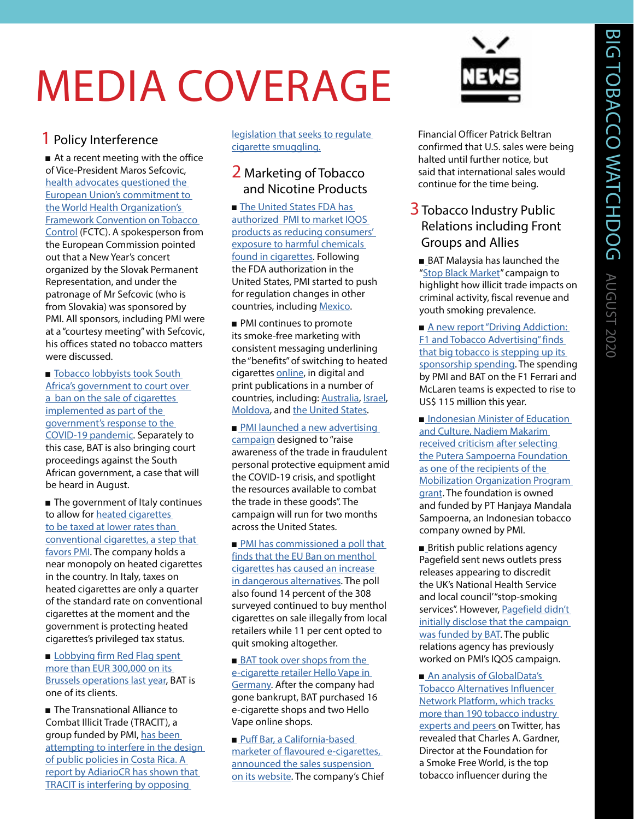## MEDIA COVERAGE

#### 1 Policy Interference

■ At a recent meeting with the office of Vice-President Maros Sefcovic, [health advocates questioned the](https://www.politico.eu/article/commission-remains-vulnerable-to-big-tobaccos-siren-song-report-says/)  [European Union's commitment to](https://www.politico.eu/article/commission-remains-vulnerable-to-big-tobaccos-siren-song-report-says/)  [the World Health Organization's](https://www.politico.eu/article/commission-remains-vulnerable-to-big-tobaccos-siren-song-report-says/)  [Framework Convention on Tobacco](https://www.politico.eu/article/commission-remains-vulnerable-to-big-tobaccos-siren-song-report-says/)  [Control](https://www.politico.eu/article/commission-remains-vulnerable-to-big-tobaccos-siren-song-report-says/) (FCTC). A spokesperson from the European Commission pointed out that a New Year's concert organized by the Slovak Permanent Representation, and under the patronage of Mr Sefcovic (who is from Slovakia) was sponsored by PMI. All sponsors, including PMI were at a "courtesy meeting" with Sefcovic, his offices stated no tobacco matters were discussed.

■ Tobacco lobbyists took South [Africa's government to court over](https://www.insider.com/coronavirus-south-africa-4-month-long-cigarette-ban-challenged-2020-7)  [a ban on the sale of cigarettes](https://www.insider.com/coronavirus-south-africa-4-month-long-cigarette-ban-challenged-2020-7)  [implemented as part of the](https://www.insider.com/coronavirus-south-africa-4-month-long-cigarette-ban-challenged-2020-7)  [government's response to the](https://www.insider.com/coronavirus-south-africa-4-month-long-cigarette-ban-challenged-2020-7)  [COVID-19 pandemic](https://www.insider.com/coronavirus-south-africa-4-month-long-cigarette-ban-challenged-2020-7). Separately to this case, BAT is also bringing court proceedings against the South African government, a case that will be heard in August.

■ The government of Italy continues to allow for [heated cigarettes](https://www.politico.com/news/2020/07/19/big-tobacco-italy-taxes-369772)  [to be taxed at lower rates than](https://www.politico.com/news/2020/07/19/big-tobacco-italy-taxes-369772)  [conventional cigarettes, a step that](https://www.politico.com/news/2020/07/19/big-tobacco-italy-taxes-369772)  [favors PMI.](https://www.politico.com/news/2020/07/19/big-tobacco-italy-taxes-369772) The company holds a near monopoly on heated cigarettes in the country. In Italy, taxes on heated cigarettes are only a quarter of the standard rate on conventional cigarettes at the moment and the government is protecting heated cigarettes's privileged tax status.

■ Lobbying firm Red Flag spent [more than EUR 300,000 on its](https://www.irishtimes.com/news/ireland/irish-news/facebook-quadruples-spending-on-lobbying-in-brussels-1.4300460)  [Brussels operations last year](https://www.irishtimes.com/news/ireland/irish-news/facebook-quadruples-spending-on-lobbying-in-brussels-1.4300460), BAT is one of its clients.

■ The Transnational Alliance to Combat Illicit Trade (TRACIT), a group funded by PMI, [has been](https://www.premiumtimesng.com/foreign/403668-how-tobacco-funded-group-try-to-influence-tobacco-control-policy-in-costa-rica-report.html)  [attempting to interfere in the design](https://www.premiumtimesng.com/foreign/403668-how-tobacco-funded-group-try-to-influence-tobacco-control-policy-in-costa-rica-report.html)  [of public policies in Costa Rica. A](https://www.premiumtimesng.com/foreign/403668-how-tobacco-funded-group-try-to-influence-tobacco-control-policy-in-costa-rica-report.html)  [report by AdiarioCR has shown that](https://www.premiumtimesng.com/foreign/403668-how-tobacco-funded-group-try-to-influence-tobacco-control-policy-in-costa-rica-report.html)  [TRACIT is interfering by opposing](https://www.premiumtimesng.com/foreign/403668-how-tobacco-funded-group-try-to-influence-tobacco-control-policy-in-costa-rica-report.html) 

[legislation that seeks to regulate](https://www.premiumtimesng.com/foreign/403668-how-tobacco-funded-group-try-to-influence-tobacco-control-policy-in-costa-rica-report.html)  [cigarette smuggling.](https://www.premiumtimesng.com/foreign/403668-how-tobacco-funded-group-try-to-influence-tobacco-control-policy-in-costa-rica-report.html)

#### 2 Marketing of Tobacco and Nicotine Products

■ The United States FDA has [authorized PMI to market IQOS](https://www.bloomberg.com/news/articles/2020-07-07/philip-morris-allowed-to-label-iqos-as-reducing-harmful-exposure)  [products as reducing consumers'](https://www.bloomberg.com/news/articles/2020-07-07/philip-morris-allowed-to-label-iqos-as-reducing-harmful-exposure)  [exposure to harmful chemicals](https://www.bloomberg.com/news/articles/2020-07-07/philip-morris-allowed-to-label-iqos-as-reducing-harmful-exposure)  [found in cigarettes.](https://www.bloomberg.com/news/articles/2020-07-07/philip-morris-allowed-to-label-iqos-as-reducing-harmful-exposure) Following the FDA authorization in the United States, PMI started to push for regulation changes in other countries, including [Mexico](https://geekzilla.tech/iqos-es-un-producto-de-tabaco-menos-danino/).

■ PMI continues to promote its smoke-free marketing with consistent messaging underlining the "benefits" of switching to heated cigarettes [online](https://www.pmiscience.com/smoke-free/understanding-how-to-achieve-risk-reduction-for-smokers), in digital and print publications in a number of countries, including: [Australia,](https://www.smh.com.au/business/companies/philip-morris-says-cigarettes-may-start-disappearing-in-a-decade-20200701-p557tm.html) [Israel,](https://www.jpost.com/health-science/cigarettes-sales-to-be-phased-out-by-philip-morris-int-within-15-years-634599) [Moldova,](https://www.kp.md/online/news/3959757/) and [the United States](https://hbr.org/2020/07/how-philip-morris-is-planning-for-a-smoke-free-future).

■ PMI launched a new advertising [campaign](https://www.pmi.com/media-center/press-releases/press-details/?newsId=22641) designed to "raise awareness of the trade in fraudulent personal protective equipment amid the COVID-19 crisis, and spotlight the resources available to combat the trade in these goods". The campaign will run for two months across the United States.

■ PMI has commissioned a poll that [finds that the EU Ban on menthol](https://www.express.co.uk/news/uk/1310516/menthol-cigarettes-ban-EU-law-smoking)  [cigarettes has caused an increase](https://www.express.co.uk/news/uk/1310516/menthol-cigarettes-ban-EU-law-smoking)  [in dangerous alternatives](https://www.express.co.uk/news/uk/1310516/menthol-cigarettes-ban-EU-law-smoking). The poll also found 14 percent of the 308 surveyed continued to buy menthol cigarettes on sale illegally from local retailers while 11 per cent opted to quit smoking altogether.

■**BAT took over shops from the** [e-cigarette retailer Hello Vape in](https://www.welt.de/wirtschaft/article212320611/E-Zigarette-Uebernahmen-in-der-Corona-Krise.html)  [Germany.](https://www.welt.de/wirtschaft/article212320611/E-Zigarette-Uebernahmen-in-der-Corona-Krise.html) After the company had gone bankrupt, BAT purchased 16 e-cigarette shops and two Hello Vape online shops.

■Puff Bar, a California-based [marketer of flavoured e-cigarettes,](https://www.fairwarning.org/2020/07/e-cigarette-company-suspends-sales/?fbclid=IwAR0yUKGH8-wt3Q4yx4vj10XNrxcwUL0hCJHWdqjI4-reJQ5tA9uergCg6Nc)  [announced the sales suspension](https://www.fairwarning.org/2020/07/e-cigarette-company-suspends-sales/?fbclid=IwAR0yUKGH8-wt3Q4yx4vj10XNrxcwUL0hCJHWdqjI4-reJQ5tA9uergCg6Nc)  [on its website](https://www.fairwarning.org/2020/07/e-cigarette-company-suspends-sales/?fbclid=IwAR0yUKGH8-wt3Q4yx4vj10XNrxcwUL0hCJHWdqjI4-reJQ5tA9uergCg6Nc). The company's Chief



Financial Officer Patrick Beltran confirmed that U.S. sales were being halted until further notice, but said that international sales would continue for the time being.

#### **3** Tobacco Industry Public Relations including Front Groups and Allies

■ BAT Malaysia has launched the "[Stop Black Market](https://www.nst.com.my/business/2020/07/606376/bat-launches-stop-black-market-campaign)" campaign to highlight how illicit trade impacts on criminal activity, fiscal revenue and youth smoking prevalence.

■ A new report "Driving Addiction: [F1 and Tobacco Advertising" finds](https://www.dispatchlive.co.za/sport/2020-07-29-formula-one-slammed-over-swelling-tobacco-advertising/)  [that big tobacco is stepping up its](https://www.dispatchlive.co.za/sport/2020-07-29-formula-one-slammed-over-swelling-tobacco-advertising/)  [sponsorship spending](https://www.dispatchlive.co.za/sport/2020-07-29-formula-one-slammed-over-swelling-tobacco-advertising/). The spending by PMI and BAT on the F1 Ferrari and McLaren teams is expected to rise to US\$ 115 million this year.

■ Indonesian Minister of Education [and Culture, Nadiem Makarim](https://www.cnnindonesia.com/nasional/20200727142010-20-529372/loloskan-putera-sampoerna-nadiem-dituding-pro-industri-rokok)  [received criticism after selecting](https://www.cnnindonesia.com/nasional/20200727142010-20-529372/loloskan-putera-sampoerna-nadiem-dituding-pro-industri-rokok)  [the Putera Sampoerna Foundation](https://www.cnnindonesia.com/nasional/20200727142010-20-529372/loloskan-putera-sampoerna-nadiem-dituding-pro-industri-rokok)  [as one of the recipients of the](https://www.cnnindonesia.com/nasional/20200727142010-20-529372/loloskan-putera-sampoerna-nadiem-dituding-pro-industri-rokok)  [Mobilization Organization Program](https://www.cnnindonesia.com/nasional/20200727142010-20-529372/loloskan-putera-sampoerna-nadiem-dituding-pro-industri-rokok)  [grant](https://www.cnnindonesia.com/nasional/20200727142010-20-529372/loloskan-putera-sampoerna-nadiem-dituding-pro-industri-rokok). The foundation is owned and funded by PT Hanjaya Mandala Sampoerna, an Indonesian tobacco company owned by PMI.

[■](https://www.facebook.com/permalink.php?id=500214176674878&story_fbid=3568532196509712) British public relations agency Pagefield sent news outlets press releases appearing to discredit the UK's National Health Service and local council'"stop-smoking services". However, Pagefield didn't [initially disclose that the campaign](https://www.theguardian.com/business/2020/jul/02/tobacco-giant-behind-attack-on-quit-smoking-services)  [was funded by BAT](https://www.theguardian.com/business/2020/jul/02/tobacco-giant-behind-attack-on-quit-smoking-services). The public relations agency has previously worked on PMI's IQOS campaign.

■An analysis of GlobalData's [Tobacco Alternatives Influencer](https://www.marketscreener.com/GLOBALDATA-PLC-13101755/news/GlobalData-reveals-top-10-tobacco-influencers-on-Twitter-in-Q2-2020-31013611/)  [Network Platform, which tracks](https://www.marketscreener.com/GLOBALDATA-PLC-13101755/news/GlobalData-reveals-top-10-tobacco-influencers-on-Twitter-in-Q2-2020-31013611/)  [more than 190 tobacco industry](https://www.marketscreener.com/GLOBALDATA-PLC-13101755/news/GlobalData-reveals-top-10-tobacco-influencers-on-Twitter-in-Q2-2020-31013611/)  [experts and peers](https://www.marketscreener.com/GLOBALDATA-PLC-13101755/news/GlobalData-reveals-top-10-tobacco-influencers-on-Twitter-in-Q2-2020-31013611/) on Twitter, has revealed that Charles A. Gardner, Director at the Foundation for a Smoke Free World, is the top tobacco influencer during the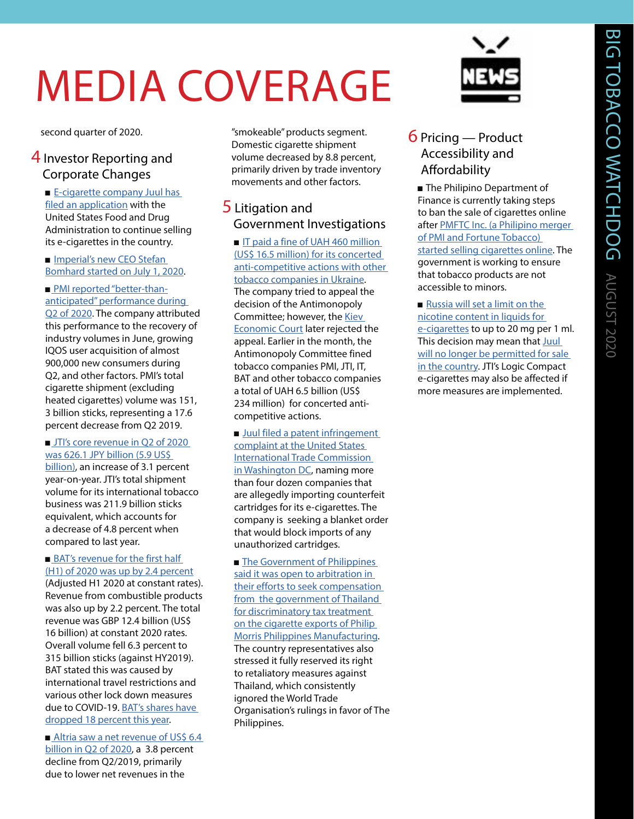## MEDIA COVERAGE

second quarter of 2020.

#### 4 Investor Reporting and Corporate Changes

■ E-cigarette company Juul has [filed an application](https://www.bloomberg.com/news/articles/2020-07-30/juul-files-crucial-fda-application-to-keep-selling-e-cigarettes?fbclid=IwAR3LhxL9F4farEpgim6Xzl-hdZfc-Wkws0Z2LuIXhi7yBsBct5MV165sH3s) with the United States Food and Drug Administration to continue selling its e-cigarettes in the country.

■ Imperial's new CEO Stefan [Bomhard started on July 1, 2020](https://www.imperialbrandsplc.com/media/news-and-features/2020/our-new-chief-executive.html).

■[PMI reported "better-than](https://philipmorrisinternational.gcs-web.com/static-files/3246c242-ddf7-4ba3-90c9-323e9cfacb74)[anticipated" performance during](https://philipmorrisinternational.gcs-web.com/static-files/3246c242-ddf7-4ba3-90c9-323e9cfacb74)  [Q2 of 2020.](https://philipmorrisinternational.gcs-web.com/static-files/3246c242-ddf7-4ba3-90c9-323e9cfacb74) The company attributed this performance to the recovery of industry volumes in June, growing IQOS user acquisition of almost 900,000 new consumers during Q2, and other factors. PMI's total cigarette shipment (excluding heated cigarettes) volume was 151, 3 billion sticks, representing a 17.6 percent decrease from Q2 2019.

■[JTI's core revenue in Q2 of 2020](https://www.jt.com/investors/results/forecast/pdf/2020/Second_Quarter/20200731_07.pdf)  [was 626.1 JPY billion \(5.9 US\\$](https://www.jt.com/investors/results/forecast/pdf/2020/Second_Quarter/20200731_07.pdf)  [billion\),](https://www.jt.com/investors/results/forecast/pdf/2020/Second_Quarter/20200731_07.pdf) an increase of 3.1 percent year-on-year. JTI's total shipment volume for its international tobacco business was 211.9 billion sticks equivalent, which accounts for a decrease of 4.8 percent when compared to last year.

■BAT's revenue for the first half [\(H1\) of 2020 was up by 2.4 percent](https://www.bat.com/group/sites/uk__9d9kcy.nsf/vwPagesWebLive/DO72TJQU/$FILE/medMDBRZQL4.pdf?openelement)

(Adjusted H1 2020 at constant rates). Revenue from combustible products was also up by 2.2 percent. The total revenue was GBP 12.4 billion (US\$ 16 billion) at constant 2020 rates. Overall volume fell 6.3 percent to 315 billion sticks (against HY2019). BAT stated this was caused by international travel restrictions and various other lock down measures due to COVID-19. [BAT's shares have](https://www.bloomberg.com/news/articles/2020-07-31/bat-earnings-growth-shows-tobacco-s-resilience-during-pandemic)  [dropped 18 percent this year](https://www.bloomberg.com/news/articles/2020-07-31/bat-earnings-growth-shows-tobacco-s-resilience-during-pandemic).

■Altria saw a net revenue of US\$ 6.4 [billion in Q2 of 2020](https://www.businesswire.com/news/home/20200728005510/en/Altria-Reports-2020-Quarter-First-Half-Results-Reestablishes), a 3.8 percent decline from Q2/2019, primarily due to lower net revenues in the

"smokeable" products segment. Domestic cigarette shipment volume decreased by 8.8 percent, primarily driven by trade inventory movements and other factors.

#### 5 Litigation and Government Investigations

■ IT paid a fine of UAH 460 million [\(US\\$ 16.5 million\) for its concerted](http://lenta.lviv.ua/economy/2020/07/24/228971.html)  [anti-competitive actions with other](http://lenta.lviv.ua/economy/2020/07/24/228971.html)  [tobacco companies in Ukraine.](http://lenta.lviv.ua/economy/2020/07/24/228971.html) The company tried to appeal the decision of the Antimonopoly Committee; however, the Kiev [Economic Court](https://gordonua.com/news/money/tabachnaya-gruppa-kompaniy-proigrala-antimonopolnomu-komitetu-sud-o-shtrafe-v-460-mln-1510275.html) later rejected the appeal. Earlier in the month, the Antimonopoly Committee fined tobacco companies PMI, JTI, IT, BAT and other tobacco companies a total of UAH 6.5 billion (US\$ 234 million) for concerted anticompetitive actions.

■ Juul filed a patent infringement [complaint at the United States](https://www.bloomberg.com/news/articles/2020-07-13/juul-launches-legal-fight-against-black-market-vaping-cartridges)  [International Trade Commission](https://www.bloomberg.com/news/articles/2020-07-13/juul-launches-legal-fight-against-black-market-vaping-cartridges)  [in Washington DC,](https://www.bloomberg.com/news/articles/2020-07-13/juul-launches-legal-fight-against-black-market-vaping-cartridges) naming more than four dozen companies that are allegedly importing counterfeit cartridges for its e-cigarettes. The company is seeking a blanket order that would block imports of any unauthorized cartridges.

■ The Government of Philippines said it was open to arbitration in [their efforts to seek compensation](https://mb.com.ph/2020/07/13/ph-open-to-arbitration-on-cigarette-tax-case-lodged-against-thailand/)  from the government of Thailand [for discriminatory tax treatment](https://mb.com.ph/2020/07/13/ph-open-to-arbitration-on-cigarette-tax-case-lodged-against-thailand/)  on the cigarette exports of Philip [Morris Philippines Manufacturing.](https://mb.com.ph/2020/07/13/ph-open-to-arbitration-on-cigarette-tax-case-lodged-against-thailand/) The country representatives also stressed it fully reserved its right to retaliatory measures against Thailand, which consistently ignored the World Trade Organisation's rulings in favor of The Philippines.



#### 6 Pricing — Product Accessibility and Affordability

■ The Philipino Department of Finance is currently taking steps to ban the sale of cigarettes online after PMFTC Inc. (a Philipino merger [of PMI and Fortune Tobacco\)](https://newsinfo.inquirer.net/1302353/dof-to-ban-online-sale-of-sin-products)  [started selling cigarettes online.](https://newsinfo.inquirer.net/1302353/dof-to-ban-online-sale-of-sin-products) The government is working to ensure that tobacco products are not accessible to minors.

■ Russia will set a limit on the [nicotine content in liquids for](https://www.ferra.ru/news/health/v-rossii-mogut-zapretit-elektronnye-sigarety-populyarnoi-marki-22-07-2020.htm)  [e-cigarettes](https://www.ferra.ru/news/health/v-rossii-mogut-zapretit-elektronnye-sigarety-populyarnoi-marki-22-07-2020.htm) to up to 20 mg per 1 ml. This decision may mean that Juul [will no longer be permitted for sale](https://fedpress.ru/news/77/society/2536988)  [in the country.](https://fedpress.ru/news/77/society/2536988) JTI's Logic Compact e-cigarettes may also be affected if more measures are implemented.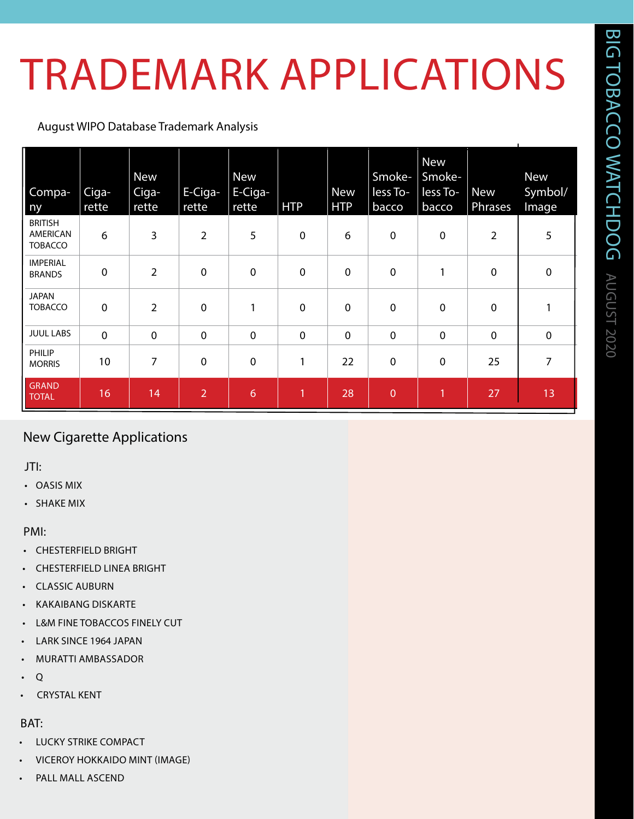## TRADEMARK APPLICATIONS

#### August WIPO Database Trademark Analysis

| Compa-<br>ny                                        | Ciga-<br>rette | <b>New</b><br>Ciga-<br>rette | E-Ciga-<br>rette | <b>New</b><br>E-Ciga-<br>rette | <b>HTP</b>   | <b>New</b><br><b>HTP</b> | Smoke-<br>less To-<br>bacco | <b>New</b><br>Smoke-<br>less To-<br>bacco | <b>New</b><br>Phrases | <b>New</b><br>Symbol/<br>Image |
|-----------------------------------------------------|----------------|------------------------------|------------------|--------------------------------|--------------|--------------------------|-----------------------------|-------------------------------------------|-----------------------|--------------------------------|
| <b>BRITISH</b><br><b>AMERICAN</b><br><b>TOBACCO</b> | 6              | 3                            | $\overline{2}$   | 5                              | $\mathbf 0$  | 6                        | $\pmb{0}$                   | $\mathbf 0$                               | $\overline{2}$        | 5                              |
| <b>IMPERIAL</b><br><b>BRANDS</b>                    | $\mathbf 0$    | $\overline{2}$               | $\mathbf 0$      | $\mathbf 0$                    | $\mathbf 0$  | $\mathbf 0$              | $\mathbf 0$                 | 1                                         | $\mathbf 0$           | $\mathbf 0$                    |
| <b>JAPAN</b><br><b>TOBACCO</b>                      | $\mathbf 0$    | $\overline{2}$               | $\mathbf 0$      | 1                              | $\mathbf 0$  | $\mathbf 0$              | $\mathbf 0$                 | $\mathbf 0$                               | $\mathbf 0$           | 1                              |
| <b>JUUL LABS</b>                                    | $\mathbf 0$    | $\mathbf 0$                  | $\mathbf 0$      | $\boldsymbol{0}$               | $\mathbf 0$  | $\mathbf 0$              | $\mathbf 0$                 | $\mathbf 0$                               | $\mathbf 0$           | $\mathbf 0$                    |
| PHILIP<br><b>MORRIS</b>                             | 10             | 7                            | $\mathbf 0$      | 0                              | $\mathbf{1}$ | 22                       | $\pmb{0}$                   | $\mathbf 0$                               | 25                    | 7                              |
| <b>GRAND</b><br><b>TOTAL</b>                        | 16             | 14                           | $\overline{2}$   | 6                              | $\mathbf{1}$ | 28                       | $\overline{0}$              | 1                                         | 27                    | 13                             |

#### New Cigarette Applications

JTI:

- OASIS MIX
- SHAKE MIX

PMI:

- CHESTERFIELD BRIGHT
- CHESTERFIELD LINEA BRIGHT
- **CLASSIC AUBURN**
- KAKAIBANG DISKARTE
- **L&M FINE TOBACCOS FINELY CUT**
- LARK SINCE 1964 JAPAN
- MURATTI AMBASSADOR
- $Q$
- CRYSTAL KENT

#### BAT:

- LUCKY STRIKE COMPACT
- VICEROY HOKKAIDO MINT (IMAGE)
- PALL MALL ASCEND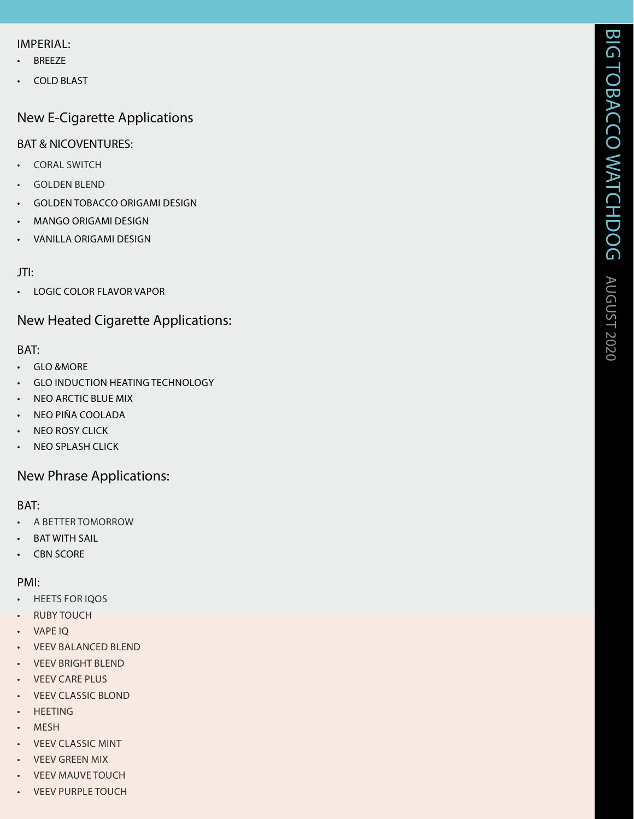#### IMPERIAL:

- BREEZE
- COLD BLAST

#### New E-Cigarette Applications

#### BAT & NICOVENTURES:

- CORAL SWITCH
- GOLDEN BLEND
- GOLDEN TOBACCO ORIGAMI DESIGN
- MANGO ORIGAMI DESIGN
- VANILLA ORIGAMI DESIGN

#### JTI:

• LOGIC COLOR FLAVOR VAPOR

#### New Heated Cigarette Applications:

#### BAT:

- GLO &MORE
- **GLO INDUCTION HEATING TECHNOLOGY**
- NEO ARCTIC BLUE MIX
- NEO PIÑA COOLADA
- NEO ROSY CLICK
- NEO SPLASH CLICK

#### New Phrase Applications:

#### BAT:

- A BETTER TOMORROW
- BAT WITH SAIL
- CBN SCORE

#### PMI:

- HEETS FOR IQOS
- RUBY TOUCH
- VAPE IQ
- VEEV BALANCED BLEND
- VEEV BRIGHT BLEND
- VEEV CARE PLUS
- VEEV CLASSIC BLOND
- HEETING
- MESH
- VEEV CLASSIC MINT
- VEEV GREEN MIX
- VEEV MAUVE TOUCH
- VEEV PURPLE TOUCH